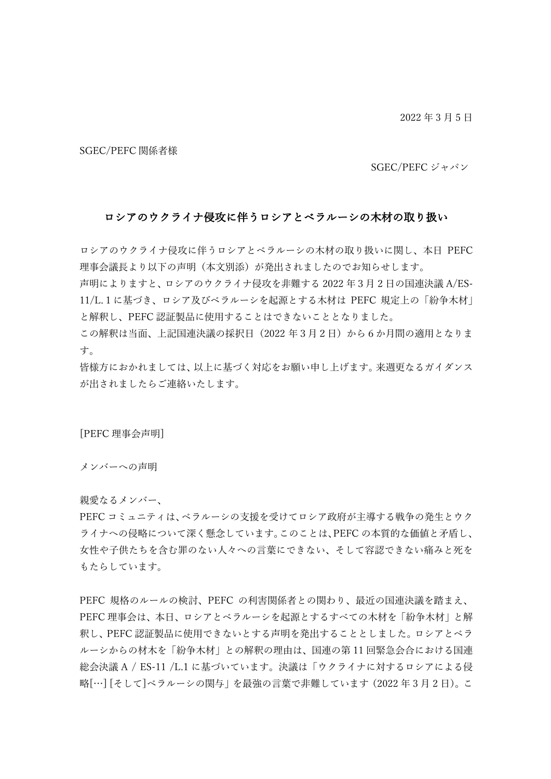2022 年 3 ⽉ 5 ⽇

SGEC/PEFC 関係者様

SGEC/PEFC ジャパン

## ロシアのウクライナ侵攻に伴うロシアとベラルーシの木材の取り扱い

ロシアのウクライナ侵攻に伴うロシアとベラルーシの⽊材の取り扱いに関し、本⽇ PEFC 理事会議⻑より以下の声明(本⽂別添)が発出されましたのでお知らせします。

声明によりますと、ロシアのウクライナ侵攻を非難する 2022 年3月2日の国連決議 A/ES-11/L.1に基づき、ロシア及びベラルーシを起源とする木材は PEFC 規定上の「紛争木材」 と解釈し、PEFC 認証製品に使⽤することはできないこととなりました。

この解釈は当面、上記国連決議の採択日 (2022 年3月2日) から6か月間の適用となりま す。

皆様方におかれましては、以上に基づく対応をお願い申し上げます。来週更なるガイダンス が出されましたらご連絡いたします。

[PEFC 理事会声明]

メンバーへの声明

親愛なるメンバー、

PEFC コミュニティは、ベラルーシの支援を受けてロシア政府が主導する戦争の発生とウク ライナへの侵略について深く懸念しています。このことは、PEFCの本質的な価値と矛盾し、 女性や子供たちを含む罪のない人々への言葉にできない、そして容認できない痛みと死を もたらしています。

PEFC 規格のルールの検討、PEFC の利害関係者との関わり、最近の国連決議を踏まえ、 PEFC 理事会は、本日、ロシアとベラルーシを起源とするすべての木材を「紛争木材」と解 釈し、PEFC 認証製品に使⽤できないとする声明を発出することとしました。ロシアとベラ ルーシからの材木を「紛争木材」との解釈の理由は、国連の第 11 回緊急会合における国連 総会決議 A / ES-11 /L.1 に基づいています。決議は「ウクライナに対するロシアによる侵 略[…] [そして]ベラルーシの関与 | を最強の言葉で非難しています(2022年3月2日)。こ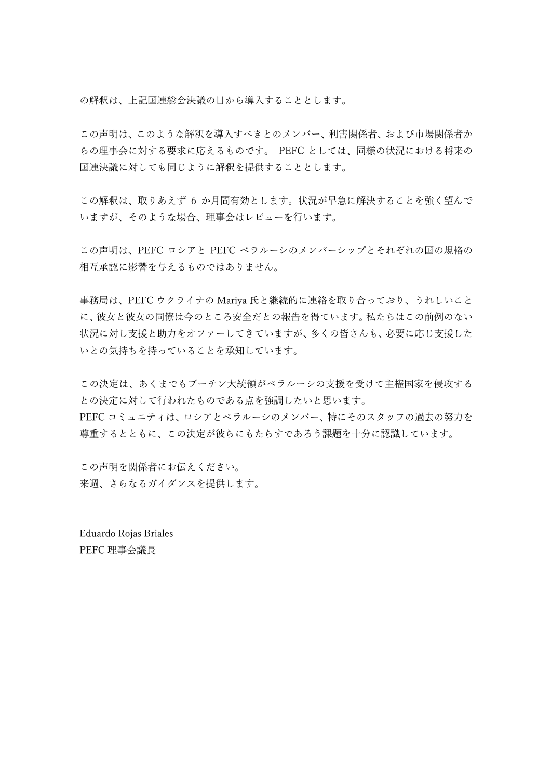の解釈は、上記国連総会決議の日から導入することとします。

この声明は、このような解釈を導入すべきとのメンバー、利害関係者、および市場関係者か らの理事会に対する要求に応えるものです。 PEFC としては、同様の状況における将来の 国連決議に対しても同じように解釈を提供することとします。

この解釈は、取りあえず6か月間有効とします。状況が早急に解決することを強く望んで いますが、そのような場合、理事会はレビューを⾏います。

この声明は、PEFC ロシアと PEFC ベラルーシのメンバーシップとそれぞれの国の規格の 相互承認に影響を与えるものではありません。

事務局は、PEFC ウクライナの Mariya 氏と継続的に連絡を取り合っており、うれしいこと に、彼⼥と彼⼥の同僚は今のところ安全だとの報告を得ています。私たちはこの前例のない 状況に対し支援と助力をオファーしてきていますが、多くの皆さんも、必要に応じ支援した いとの気持ちを持っていることを承知しています。

この決定は、あくまでもプーチン大統領がベラルーシの支援を受けて主権国家を侵攻する との決定に対して⾏われたものである点を強調したいと思います。 PEFC コミュニティは、ロシアとベラルーシのメンバー、特にそのスタッフの過去の努力を 尊重するとともに、この決定が彼らにもたらすであろう課題を⼗分に認識しています。

この声明を関係者にお伝えください。 来週、さらなるガイダンスを提供します。

Eduardo Rojas Briales PEFC 理事会議長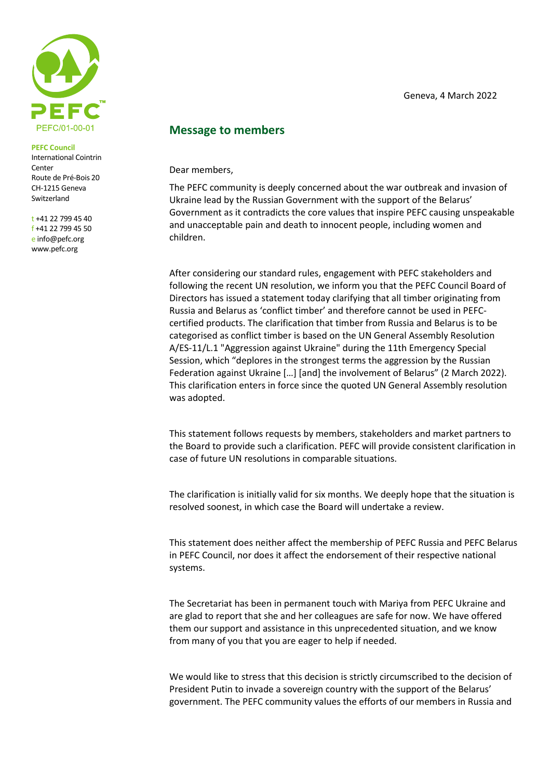

## **PEFC Council**

International Cointrin Center Route de Pré-Bois 20 CH-1215 Geneva Switzerland

t +41 22 799 45 40 f +41 22 799 45 50 e [info@pefc.org](mailto:info@pefc.org) www.pefc.org

## **Message to members**

Dear members,

The PEFC community is deeply concerned about the war outbreak and invasion of Ukraine lead by the Russian Government with the support of the Belarus' Government as it contradicts the core values that inspire PEFC causing unspeakable and unacceptable pain and death to innocent people, including women and children.

After considering our standard rules, engagement with PEFC stakeholders and following the recent UN resolution, we inform you that the PEFC Council Board of Directors has issued a statement today clarifying that all timber originating from Russia and Belarus as 'conflict timber' and therefore cannot be used in PEFCcertified products. The clarification that timber from Russia and Belarus is to be categorised as conflict timber is based on the UN General Assembly Resolution A/ES-11/L.1 "Aggression against Ukraine" during the 11th Emergency Special Session, which "deplores in the strongest terms the aggression by the Russian Federation against Ukraine […] [and] the involvement of Belarus" (2 March 2022). This clarification enters in force since the quoted UN General Assembly resolution was adopted.

This statement follows requests by members, stakeholders and market partners to the Board to provide such a clarification. PEFC will provide consistent clarification in case of future UN resolutions in comparable situations.

The clarification is initially valid for six months. We deeply hope that the situation is resolved soonest, in which case the Board will undertake a review.

This statement does neither affect the membership of PEFC Russia and PEFC Belarus in PEFC Council, nor does it affect the endorsement of their respective national systems.

The Secretariat has been in permanent touch with Mariya from PEFC Ukraine and are glad to report that she and her colleagues are safe for now. We have offered them our support and assistance in this unprecedented situation, and we know from many of you that you are eager to help if needed.

We would like to stress that this decision is strictly circumscribed to the decision of President Putin to invade a sovereign country with the support of the Belarus' government. The PEFC community values the efforts of our members in Russia and